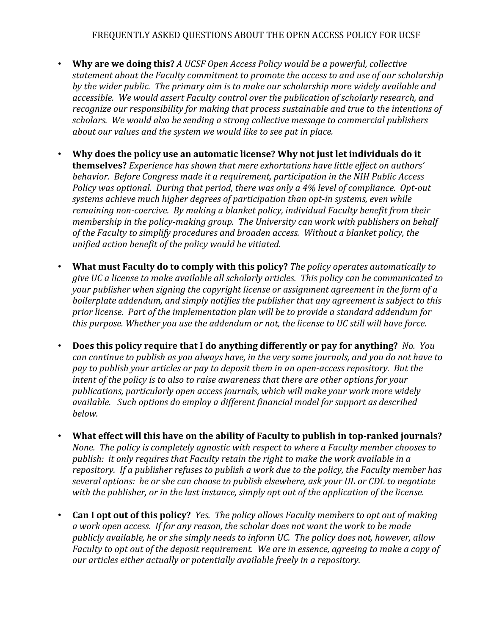- **Why are we doing this?** A UCSF Open Access Policy would be a powerful, collective statement about the Faculty commitment to promote the access to and use of our scholarship by the wider public. The primary aim is to make our scholarship more widely available and accessible. We would assert Faculty control over the publication of scholarly research, and *recognize our responsibility for making that process sustainable and true to the intentions of* scholars. We would also be sending a strong collective message to commercial publishers *about our values and the system we would like to see put in place.*
- Why does the policy use an automatic license? Why not just let individuals do it **themselves?** *Experience has shown that mere exhortations have little effect on authors'* behavior. Before Congress made it a requirement, participation in the NIH Public Access *Policy* was optional. During that period, there was only a 4% level of compliance. Opt-out systems achieve much higher degrees of participation than opt-in systems, even while remaining non-coercive. By making a blanket policy, individual Faculty benefit from their *membership* in the policy-making group. The University can work with publishers on behalf of the Faculty to simplify procedures and broaden access. Without a blanket policy, the *unified action benefit of the policy would be vitiated.*
- **What must Faculty do to comply with this policy?** The policy operates automatically to *give* UC a license to make available all scholarly articles. This policy can be communicated to *your publisher when signing the copyright license or assignment agreement in the form of a boilerplate addendum, and simply notifies the publisher that any agreement is subject to this* prior license. Part of the implementation plan will be to provide a standard addendum for this purpose. Whether you use the addendum or not, the license to UC still will have force.
- **Does this policy require that I do anything differently or pay for anything?** No. You *can continue to publish as you always have, in the very same journals, and you do not have to pay* to publish your articles or pay to deposit them in an open-access repository. But the *intent* of the policy is to also to raise awareness that there are other options for your publications, particularly open access journals, which will make your work more widely available. Such options do employ a different financial model for support as described *below.*
- What effect will this have on the ability of Faculty to publish in top-ranked journals? *None.* The policy is completely agnostic with respect to where a Faculty member chooses to publish: it only requires that Faculty retain the right to make the work available in a *repository.* If a publisher refuses to publish a work due to the policy, the Faculty member has several options: he or she can choose to publish elsewhere, ask your UL or CDL to negotiate with the publisher, or in the last instance, simply opt out of the application of the license.
- **Can I opt out of this policy?** *Yes. The policy allows Faculty members to opt out of making* a work open access. If for any reason, the scholar does not want the work to be made *publicly available, he or she simply needs to inform UC. The policy does not, however, allow Faculty* to *opt* out of the deposit requirement. We are in essence, agreeing to make a copy of *<i>our* articles either actually or potentially available freely in a repository.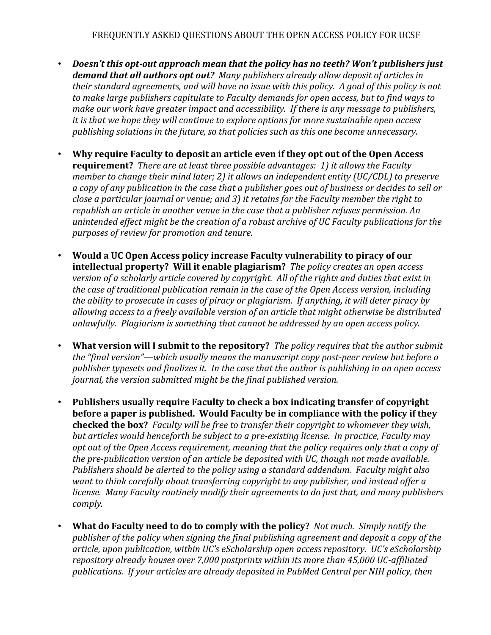- *Doesn't this opt-out approach mean that the policy has no teeth? Won't publishers just* demand that all authors opt out? Many publishers already allow deposit of articles in *their standard agreements, and will have no issue with this policy. A goal of this policy is not* to make large publishers capitulate to Faculty demands for open access, but to find ways to *make our work have greater impact and accessibility. If there is any message to publishers, it* is that we hope they will continue to explore options for more sustainable open access publishing solutions in the future, so that policies such as this one become unnecessary.
- **Why require Faculty to deposit an article even if they opt out of the Open Access requirement?** There are at least three possible advantages: 1) it allows the Faculty *member to change their mind later; 2) it allows an independent entity (UC/CDL) to preserve a* copy of any publication in the case that a publisher goes out of business or decides to sell or *close a particular journal or venue; and 3) it retains for the Faculty member the right to republish an article in another venue in the case that a publisher refuses permission. An unintended effect might be the creation of a robust archive of UC Faculty publications for the purposes of review for promotion and tenure.*
- **Would a UC Open Access policy increase Faculty vulnerability to piracy of our intellectual property?** Will it enable plagiarism? The policy creates an open access *version of a scholarly article covered by copyright. All of the rights and duties that exist in the case of traditional publication remain in the case of the Open Access version, including the* ability to prosecute in cases of piracy or plagiarism. If anything, it will deter piracy by allowing access to a freely available version of an article that might otherwise be distributed *unlawfully.* Plagiarism is something that cannot be addressed by an open access policy.
- **What version will I submit to the repository?** The policy requires that the author submit the "final version"—which usually means the manuscript copy post-peer review but before a publisher typesets and finalizes it. In the case that the author is publishing in an open access *journal, the version submitted might be the final published version.*
- **Publishers usually require Faculty to check a box indicating transfer of copyright before a paper is published.** Would Faculty be in compliance with the policy if they checked the box? Faculty will be free to transfer their copyright to whomever they wish, but articles would henceforth be subject to a pre-existing license. In practice, Faculty may opt out of the Open Access requirement, meaning that the policy requires only that a copy of the pre-publication version of an article be deposited with UC, though not made available. *Publishers should be alerted to the policy using a standard addendum. Faculty might also want to think carefully about transferring copyright to any publisher, and instead offer a license.* Many Faculty routinely modify their agreements to do just that, and many publishers *comply.*
- **What do Faculty need to do to comply with the policy?** Not much. Simply notify the publisher of the policy when signing the final publishing agreement and deposit a copy of the article, upon publication, within UC's eScholarship open access repository. UC's eScholarship repository already houses over 7,000 postprints within its more than 45,000 UC-affiliated publications. If your articles are already deposited in PubMed Central per NIH policy, then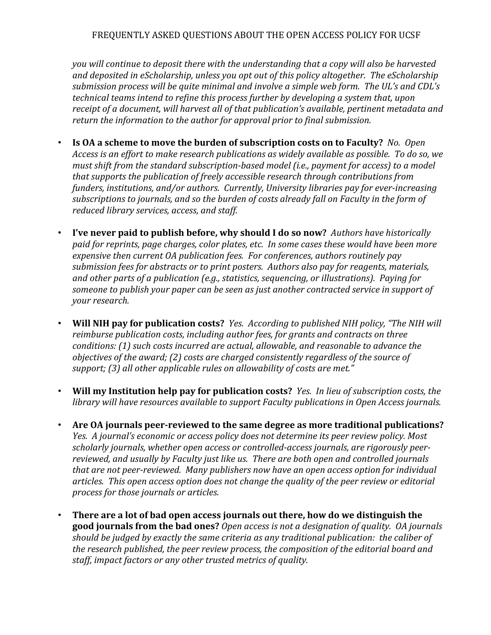*you* will continue to deposit there with the understanding that a copy will also be harvested and deposited in eScholarship, unless you opt out of this policy altogether. The eScholarship submission process will be quite minimal and involve a simple web form. The UL's and CDL's *technical teams intend to refine this process further by developing a system that, upon* receipt of a document, will harvest all of that publication's available, pertinent metadata and *return* the information to the author for approval prior to final submission.

- **Is OA a scheme to move the burden of subscription costs on to Faculty?** No. Open Access is an effort to make research publications as widely available as possible. To do so, we *must shift from the standard subscription-based model (i.e., payment for access)* to a model that supports the publication of freely accessible research through contributions from funders, institutions, and/or authors. Currently, University libraries pay for ever-increasing subscriptions to journals, and so the burden of costs already fall on Faculty in the form of reduced library services, access, and staff.
- *I've never paid to publish before, why should I do so now? Authors have historically* paid for reprints, page charges, color plates, etc. In some cases these would have been more expensive then current OA publication fees. For conferences, authors routinely pay submission fees for abstracts or to print posters. Authors also pay for reagents, materials, and other parts of a publication (e.g., statistics, sequencing, or illustrations). Paying for someone to publish your paper can be seen as just another contracted service in support of *your research.*
- **Will NIH pay for publication costs?** *Yes. According to published NIH policy, "The NIH will* reimburse publication costs, including author fees, for grants and contracts on three *conditions:* (1) such costs incurred are actual, allowable, and reasonable to advance the *objectives of the award;* (2) costs are charged consistently regardless of the source of support; (3) all other applicable rules on allowability of costs are met."
- **Will my Institution help pay for publication costs?** *Yes. In lieu of subscription costs, the library* will have resources available to support Faculty publications in Open Access journals.
- Are OA journals peer-reviewed to the same degree as more traditional publications? *Yes. A journal's economic or access policy does not determine its peer review policy. Most* scholarly journals, whether open access or controlled-access journals, are rigorously peerreviewed, and usually by Faculty just like us. There are both open and controlled journals *that are not peer-reviewed. Many publishers now have an open access option for individual* articles. This open access option does not change the quality of the peer review or editorial *process for those journals or articles.*
- There are a lot of bad open access journals out there, how do we distinguish the good journals from the bad ones? *Open access is not a designation of quality. OA journals* should be judged by exactly the same criteria as any traditional publication: the caliber of the research published, the peer review process, the composition of the editorial board and staff, *impact factors or any other trusted metrics of quality.*